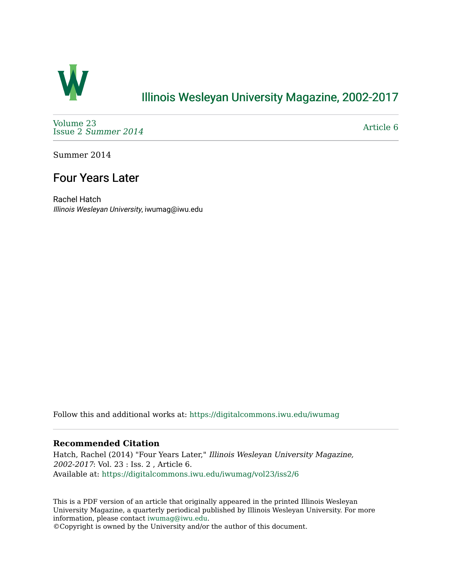

# [Illinois Wesleyan University Magazine, 2002-2017](https://digitalcommons.iwu.edu/iwumag)

[Volume 23](https://digitalcommons.iwu.edu/iwumag/vol23)  Issue 2 [Summer 2014](https://digitalcommons.iwu.edu/iwumag/vol23/iss2) 

[Article 6](https://digitalcommons.iwu.edu/iwumag/vol23/iss2/6) 

Summer 2014

# Four Years Later

Rachel Hatch Illinois Wesleyan University, iwumag@iwu.edu

Follow this and additional works at: [https://digitalcommons.iwu.edu/iwumag](https://digitalcommons.iwu.edu/iwumag?utm_source=digitalcommons.iwu.edu%2Fiwumag%2Fvol23%2Fiss2%2F6&utm_medium=PDF&utm_campaign=PDFCoverPages) 

#### **Recommended Citation**

Hatch, Rachel (2014) "Four Years Later," Illinois Wesleyan University Magazine, 2002-2017: Vol. 23 : Iss. 2 , Article 6. Available at: [https://digitalcommons.iwu.edu/iwumag/vol23/iss2/6](https://digitalcommons.iwu.edu/iwumag/vol23/iss2/6?utm_source=digitalcommons.iwu.edu%2Fiwumag%2Fvol23%2Fiss2%2F6&utm_medium=PDF&utm_campaign=PDFCoverPages)

This is a PDF version of an article that originally appeared in the printed Illinois Wesleyan University Magazine, a quarterly periodical published by Illinois Wesleyan University. For more information, please contact [iwumag@iwu.edu](mailto:iwumag@iwu.edu).

©Copyright is owned by the University and/or the author of this document.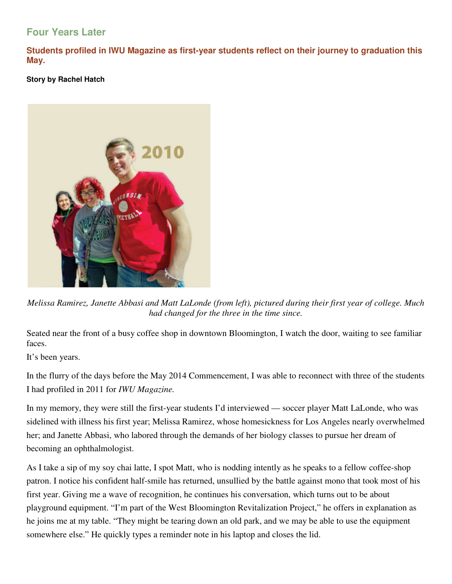### **Four Years Later**

**Students profiled in IWU Magazine as first-year students reflect on their journey to graduation this May.** 

### **Story by Rachel Hatch**



*Melissa Ramirez, Janette Abbasi and Matt LaLonde (from left), pictured during their first year of college. Much had changed for the three in the time since.* 

Seated near the front of a busy coffee shop in downtown Bloomington, I watch the door, waiting to see familiar faces.

It's been years.

In the flurry of the days before the May 2014 Commencement, I was able to reconnect with three of the students I had profiled in 2011 for *IWU Magazine.*

In my memory, they were still the first-year students I'd interviewed — soccer player Matt LaLonde, who was sidelined with illness his first year; Melissa Ramirez, whose homesickness for Los Angeles nearly overwhelmed her; and Janette Abbasi, who labored through the demands of her biology classes to pursue her dream of becoming an ophthalmologist.

As I take a sip of my soy chai latte, I spot Matt, who is nodding intently as he speaks to a fellow coffee-shop patron. I notice his confident half-smile has returned, unsullied by the battle against mono that took most of his first year. Giving me a wave of recognition, he continues his conversation, which turns out to be about playground equipment. "I'm part of the West Bloomington Revitalization Project," he offers in explanation as he joins me at my table. "They might be tearing down an old park, and we may be able to use the equipment somewhere else." He quickly types a reminder note in his laptop and closes the lid.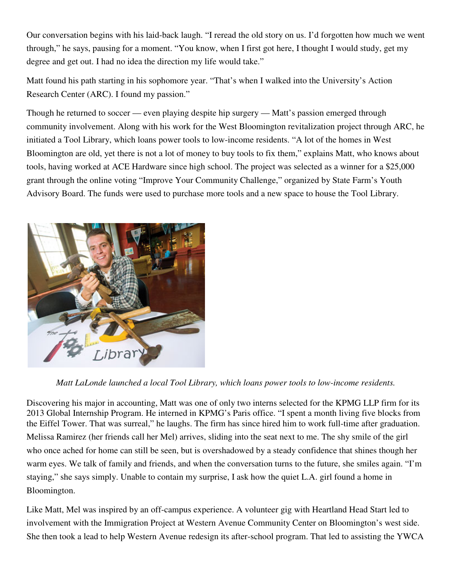Our conversation begins with his laid-back laugh. "I reread the old story on us. I'd forgotten how much we went through," he says, pausing for a moment. "You know, when I first got here, I thought I would study, get my degree and get out. I had no idea the direction my life would take."

Matt found his path starting in his sophomore year. "That's when I walked into the University's Action Research Center (ARC). I found my passion."

Though he returned to soccer — even playing despite hip surgery — Matt's passion emerged through community involvement. Along with his work for the West Bloomington revitalization project through ARC, he initiated a Tool Library, which loans power tools to low-income residents. "A lot of the homes in West Bloomington are old, yet there is not a lot of money to buy tools to fix them," explains Matt, who knows about tools, having worked at ACE Hardware since high school. The project was selected as a winner for a \$25,000 grant through the online voting "Improve Your Community Challenge," organized by State Farm's Youth Advisory Board. The funds were used to purchase more tools and a new space to house the Tool Library.



*Matt LaLonde launched a local Tool Library, which loans power tools to low-income residents.* 

Discovering his major in accounting, Matt was one of only two interns selected for the KPMG LLP firm for its 2013 Global Internship Program. He interned in KPMG's Paris office. "I spent a month living five blocks from the Eiffel Tower. That was surreal," he laughs. The firm has since hired him to work full-time after graduation. Melissa Ramirez (her friends call her Mel) arrives, sliding into the seat next to me. The shy smile of the girl who once ached for home can still be seen, but is overshadowed by a steady confidence that shines though her warm eyes. We talk of family and friends, and when the conversation turns to the future, she smiles again. "I'm staying," she says simply. Unable to contain my surprise, I ask how the quiet L.A. girl found a home in Bloomington.

Like Matt, Mel was inspired by an off-campus experience. A volunteer gig with Heartland Head Start led to involvement with the Immigration Project at Western Avenue Community Center on Bloomington's west side. She then took a lead to help Western Avenue redesign its after-school program. That led to assisting the YWCA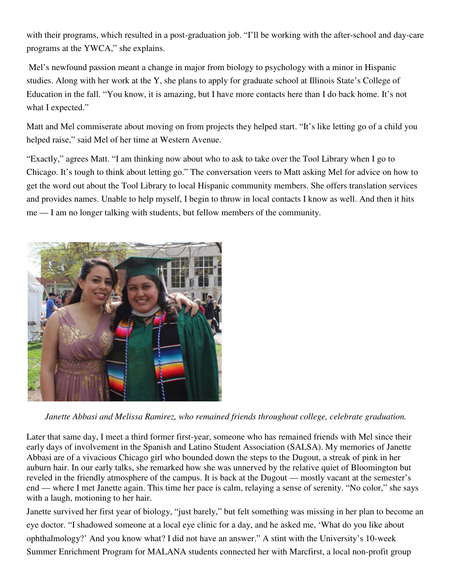with their programs, which resulted in a post-graduation job. "I'll be working with the after-school and day-care programs at the YWCA," she explains.

 Mel's newfound passion meant a change in major from biology to psychology with a minor in Hispanic studies. Along with her work at the Y, she plans to apply for graduate school at Illinois State's College of Education in the fall. "You know, it is amazing, but I have more contacts here than I do back home. It's not what I expected."

Matt and Mel commiserate about moving on from projects they helped start. "It's like letting go of a child you helped raise," said Mel of her time at Western Avenue.

"Exactly," agrees Matt. "I am thinking now about who to ask to take over the Tool Library when I go to Chicago. It's tough to think about letting go." The conversation veers to Matt asking Mel for advice on how to get the word out about the Tool Library to local Hispanic community members. She offers translation services and provides names. Unable to help myself, I begin to throw in local contacts I know as well. And then it hits me — I am no longer talking with students, but fellow members of the community.



*Janette Abbasi and Melissa Ramirez, who remained friends throughout college, celebrate graduation.* 

Later that same day, I meet a third former first-year, someone who has remained friends with Mel since their early days of involvement in the Spanish and Latino Student Association (SALSA). My memories of Janette Abbasi are of a vivacious Chicago girl who bounded down the steps to the Dugout, a streak of pink in her auburn hair. In our early talks, she remarked how she was unnerved by the relative quiet of Bloomington but reveled in the friendly atmosphere of the campus. It is back at the Dugout — mostly vacant at the semester's end — where I met Janette again. This time her pace is calm, relaying a sense of serenity. "No color," she says with a laugh, motioning to her hair.

Janette survived her first year of biology, "just barely," but felt something was missing in her plan to become an eye doctor. "I shadowed someone at a local eye clinic for a day, and he asked me, 'What do you like about ophthalmology?' And you know what? I did not have an answer." A stint with the University's 10-week Summer Enrichment Program for MALANA students connected her with Marcfirst, a local non-profit group